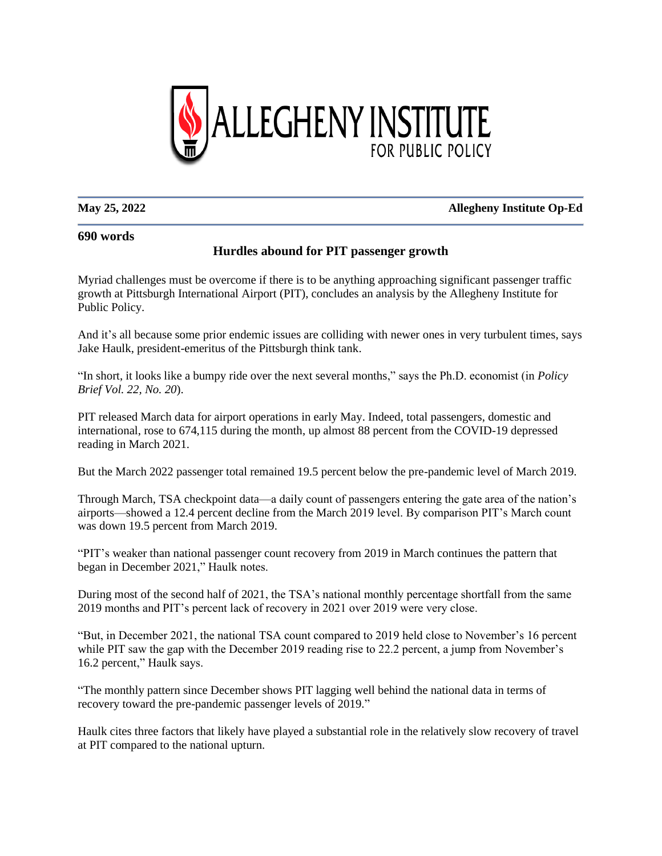

## **May 25, 2022 Allegheny Institute Op-Ed**

## **690 words**

## **Hurdles abound for PIT passenger growth**

Myriad challenges must be overcome if there is to be anything approaching significant passenger traffic growth at Pittsburgh International Airport (PIT), concludes an analysis by the Allegheny Institute for Public Policy.

And it's all because some prior endemic issues are colliding with newer ones in very turbulent times, says Jake Haulk, president-emeritus of the Pittsburgh think tank.

"In short, it looks like a bumpy ride over the next several months," says the Ph.D. economist (in *Policy Brief Vol. 22, No. 20*).

PIT released March data for airport operations in early May. Indeed, total passengers, domestic and international, rose to 674,115 during the month, up almost 88 percent from the COVID-19 depressed reading in March 2021.

But the March 2022 passenger total remained 19.5 percent below the pre-pandemic level of March 2019.

Through March, TSA checkpoint data—a daily count of passengers entering the gate area of the nation's airports—showed a 12.4 percent decline from the March 2019 level. By comparison PIT's March count was down 19.5 percent from March 2019.

"PIT's weaker than national passenger count recovery from 2019 in March continues the pattern that began in December 2021," Haulk notes.

During most of the second half of 2021, the TSA's national monthly percentage shortfall from the same 2019 months and PIT's percent lack of recovery in 2021 over 2019 were very close.

"But, in December 2021, the national TSA count compared to 2019 held close to November's 16 percent while PIT saw the gap with the December 2019 reading rise to 22.2 percent, a jump from November's 16.2 percent," Haulk says.

"The monthly pattern since December shows PIT lagging well behind the national data in terms of recovery toward the pre-pandemic passenger levels of 2019."

Haulk cites three factors that likely have played a substantial role in the relatively slow recovery of travel at PIT compared to the national upturn.